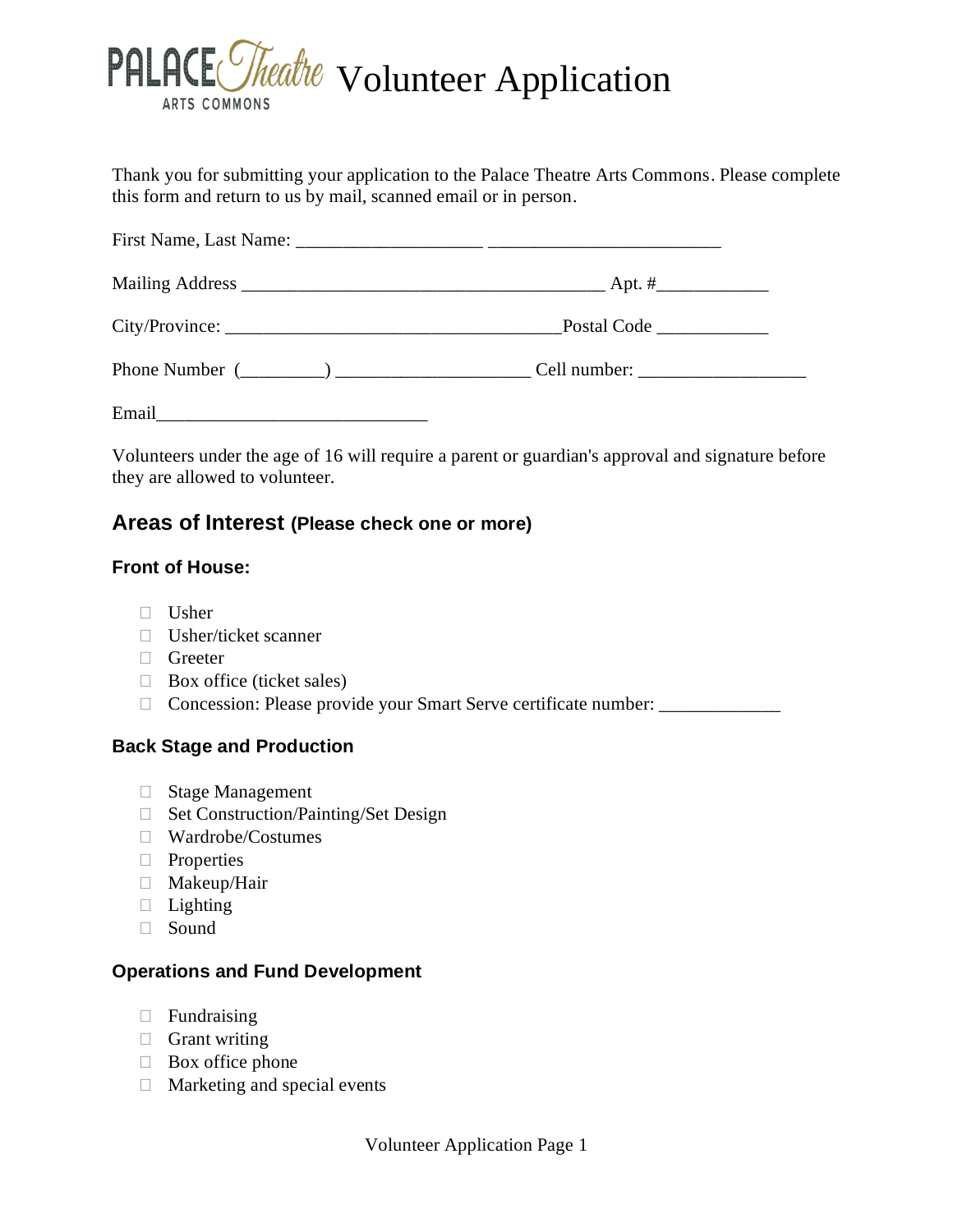

Thank you for submitting your application to the Palace Theatre Arts Commons. Please complete this form and return to us by mail, scanned email or in person.

Volunteers under the age of 16 will require a parent or guardian's approval and signature before they are allowed to volunteer.

# **Areas of Interest (Please check one or more)**

### **Front of House:**

- $\Box$  Usher
- Usher/ticket scanner
- Greeter
- $\Box$  Box office (ticket sales)
- □ Concession: Please provide your Smart Serve certificate number:

#### **Back Stage and Production**

- □ Stage Management
- □ Set Construction/Painting/Set Design
- Wardrobe/Costumes
- **Properties**
- Makeup/Hair
- $\Box$  Lighting
- Sound

#### **Operations and Fund Development**

- $\Box$  Fundraising
- $\Box$  Grant writing
- $\Box$  Box office phone
- $\Box$  Marketing and special events